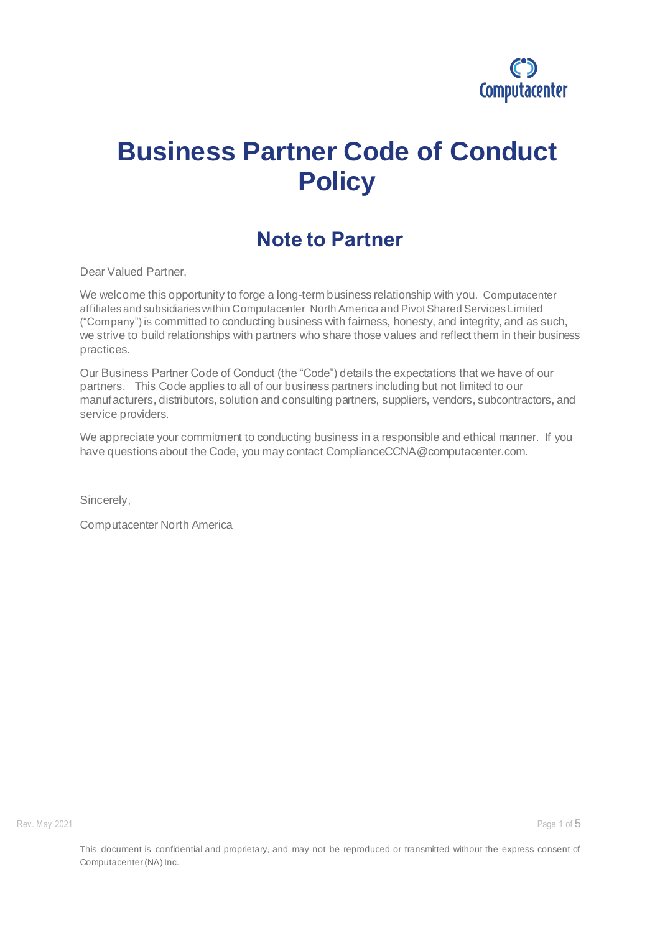

# **Business Partner Code of Conduct Policy**

#### **Note to Partner**

Dear Valued Partner,

We welcome this opportunity to forge a long-term business relationship with you. Computacenter affiliates and subsidiaries within Computacenter North America and Pivot Shared Services Limited ("Company") is committed to conducting business with fairness, honesty, and integrity, and as such, we strive to build relationships with partners who share those values and reflect them in their business practices.

Our Business Partner Code of Conduct (the "Code") details the expectations that we have of our partners. This Code applies to all of our business partners including but not limited to our manufacturers, distributors, solution and consulting partners, suppliers, vendors, subcontractors, and service providers.

We appreciate your commitment to conducting business in a responsible and ethical manner. If you have questions about the Code, you may contact ComplianceCCNA@computacenter.com.

Sincerely,

Computacenter North America

Rev. May 2021 **Page 1 of 5**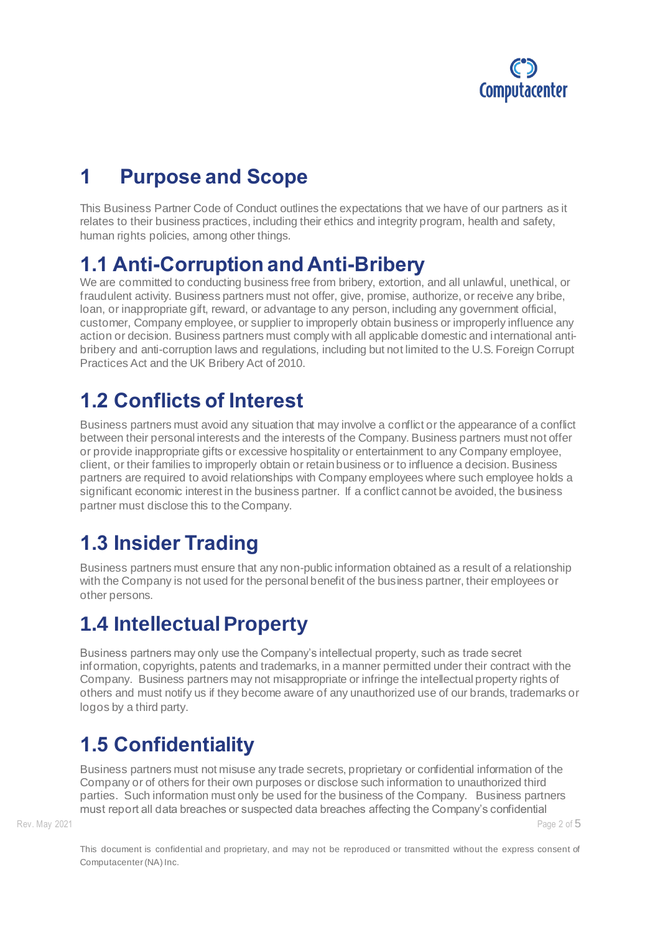

## **1 Purpose and Scope**

This Business Partner Code of Conduct outlines the expectations that we have of our partners as it relates to their business practices, including their ethics and integrity program, health and safety, human rights policies, among other things.

## **1.1 Anti-Corruption and Anti-Bribery**

We are committed to conducting business free from bribery, extortion, and all unlawful, unethical, or fraudulent activity. Business partners must not offer, give, promise, authorize, or receive any bribe, loan, or inappropriate gift, reward, or advantage to any person, including any government official, customer, Company employee, or supplier to improperly obtain business or improperly influence any action or decision. Business partners must comply with all applicable domestic and international antibribery and anti-corruption laws and regulations, including but not limited to the U.S. Foreign Corrupt Practices Act and the UK Bribery Act of 2010.

## **1.2 Conflicts of Interest**

Business partners must avoid any situation that may involve a conflict or the appearance of a conflict between their personal interests and the interests of the Company. Business partners must not offer or provide inappropriate gifts or excessive hospitality or entertainment to any Company employee, client, or their families to improperly obtain or retain business or to influence a decision. Business partners are required to avoid relationships with Company employees where such employee holds a significant economic interest in the business partner. If a conflict cannot be avoided, the business partner must disclose this to the Company.

# **1.3 Insider Trading**

Business partners must ensure that any non-public information obtained as a result of a relationship with the Company is not used for the personal benefit of the business partner, their employees or other persons.

# **1.4 Intellectual Property**

Business partners may only use the Company's intellectual property, such as trade secret information, copyrights, patents and trademarks, in a manner permitted under their contract with the Company. Business partners may not misappropriate or infringe the intellectual property rights of others and must notify us if they become aware of any unauthorized use of our brands, trademarks or logos by a third party.

# **1.5 Confidentiality**

Business partners must not misuse any trade secrets, proprietary or confidential information of the Company or of others for their own purposes or disclose such information to unauthorized third parties. Such information must only be used for the business of the Company. Business partners must report all data breaches or suspected data breaches affecting the Company's confidential

Rev. May 2021 **Page 2 of 5**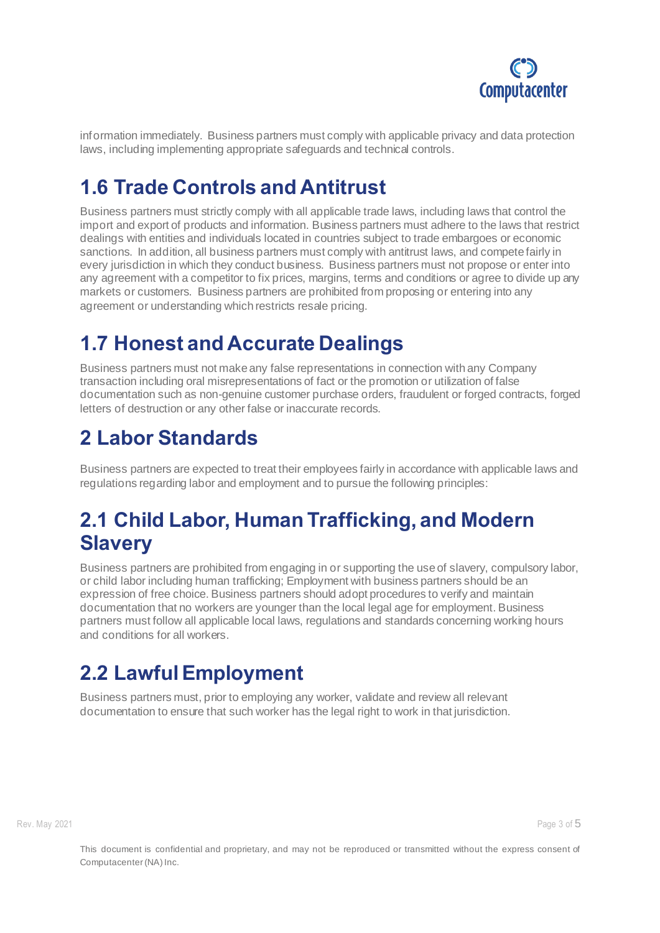

information immediately. Business partners must comply with applicable privacy and data protection laws, including implementing appropriate safeguards and technical controls.

## **1.6 Trade Controls and Antitrust**

Business partners must strictly comply with all applicable trade laws, including laws that control the import and export of products and information. Business partners must adhere to the laws that restrict dealings with entities and individuals located in countries subject to trade embargoes or economic sanctions. In addition, all business partners must comply with antitrust laws, and compete fairly in every jurisdiction in which they conduct business. Business partners must not propose or enter into any agreement with a competitor to fix prices, margins, terms and conditions or agree to divide up any markets or customers. Business partners are prohibited from proposing or entering into any agreement or understanding which restricts resale pricing.

## **1.7 Honest and Accurate Dealings**

Business partners must not make any false representations in connection with any Company transaction including oral misrepresentations of fact or the promotion or utilization of false documentation such as non-genuine customer purchase orders, fraudulent or forged contracts, forged letters of destruction or any other false or inaccurate records.

## **2 Labor Standards**

Business partners are expected to treat their employees fairly in accordance with applicable laws and regulations regarding labor and employment and to pursue the following principles:

#### **2.1 Child Labor, Human Trafficking, and Modern Slavery**

Business partners are prohibited from engaging in or supporting the use of slavery, compulsory labor, or child labor including human trafficking; Employment with business partners should be an expression of free choice. Business partners should adopt procedures to verify and maintain documentation that no workers are younger than the local legal age for employment. Business partners must follow all applicable local laws, regulations and standards concerning working hours and conditions for all workers.

## **2.2 Lawful Employment**

Business partners must, prior to employing any worker, validate and review all relevant documentation to ensure that such worker has the legal right to work in that jurisdiction.

Rev. May 2021 **Page 3 of 5**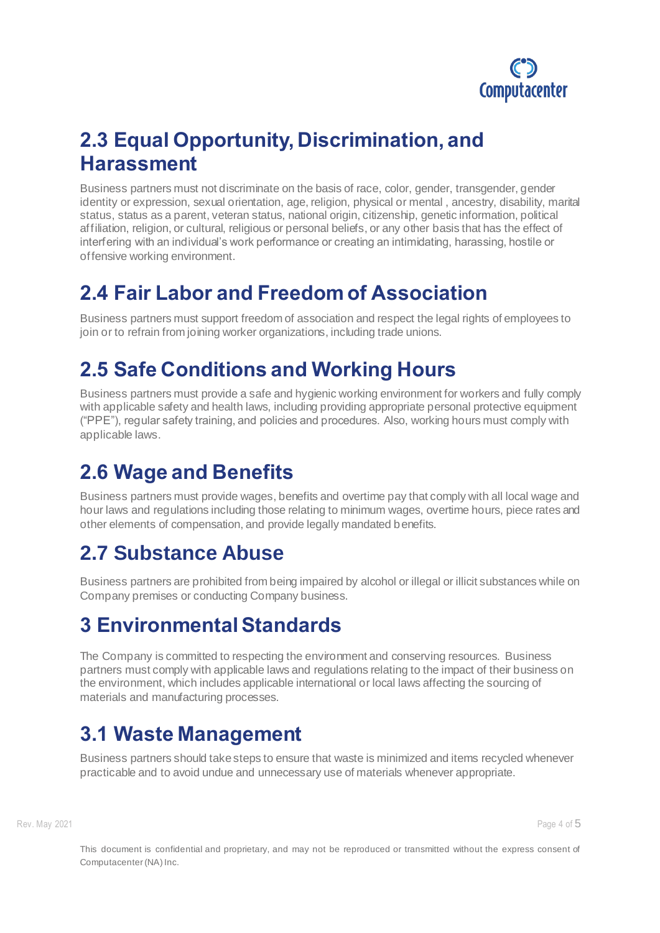

#### **2.3 Equal Opportunity, Discrimination, and Harassment**

Business partners must not discriminate on the basis of race, color, gender, transgender, gender identity or expression, sexual orientation, age, religion, physical or mental , ancestry, disability, marital status, status as a parent, veteran status, national origin, citizenship, genetic information, political affiliation, religion, or cultural, religious or personal beliefs, or any other basis that has the effect of interfering with an individual's work performance or creating an intimidating, harassing, hostile or offensive working environment.

#### **2.4 Fair Labor and Freedom of Association**

Business partners must support freedom of association and respect the legal rights of employees to join or to refrain from joining worker organizations, including trade unions.

## **2.5 Safe Conditions and Working Hours**

Business partners must provide a safe and hygienic working environment for workers and fully comply with applicable safety and health laws, including providing appropriate personal protective equipment ("PPE"), regular safety training, and policies and procedures. Also, working hours must comply with applicable laws.

## **2.6 Wage and Benefits**

Business partners must provide wages, benefits and overtime pay that comply with all local wage and hour laws and regulations including those relating to minimum wages, overtime hours, piece rates and other elements of compensation, and provide legally mandated benefits.

#### **2.7 Substance Abuse**

Business partners are prohibited from being impaired by alcohol or illegal or illicit substances while on Company premises or conducting Company business.

## **3 Environmental Standards**

The Company is committed to respecting the environment and conserving resources. Business partners must comply with applicable laws and regulations relating to the impact of their business on the environment, which includes applicable international or local laws affecting the sourcing of materials and manufacturing processes.

# **3.1 Waste Management**

Business partners should take steps to ensure that waste is minimized and items recycled whenever practicable and to avoid undue and unnecessary use of materials whenever appropriate.

Rev. May 2021 **Page 4 of 5**